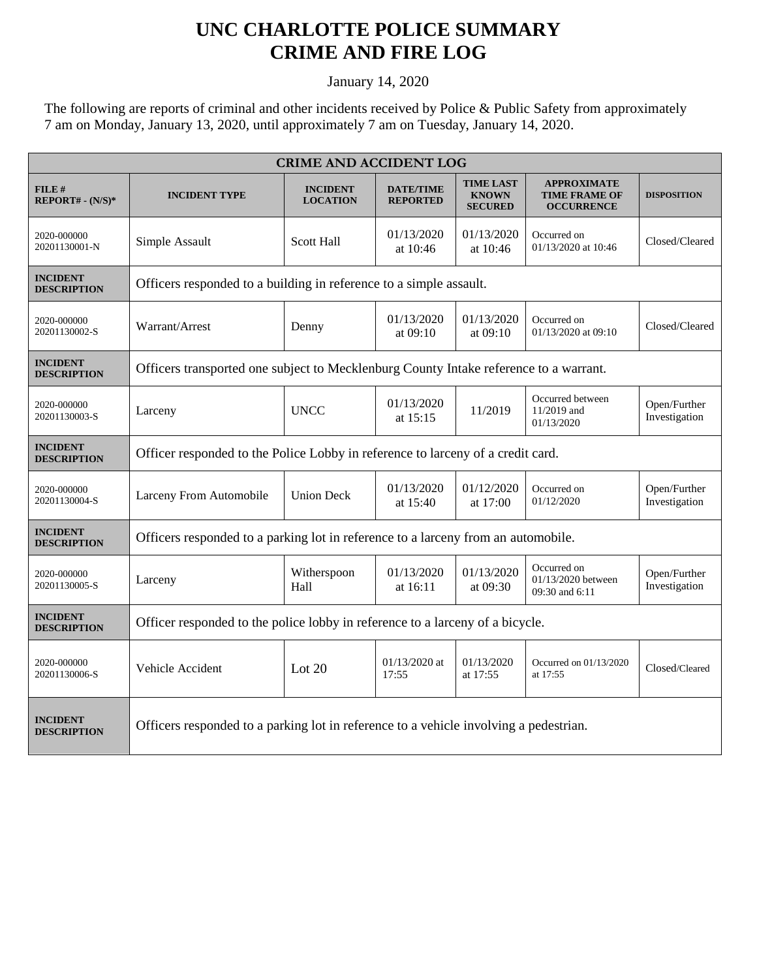## **UNC CHARLOTTE POLICE SUMMARY CRIME AND FIRE LOG**

January 14, 2020

The following are reports of criminal and other incidents received by Police & Public Safety from approximately 7 am on Monday, January 13, 2020, until approximately 7 am on Tuesday, January 14, 2020.

| <b>CRIME AND ACCIDENT LOG</b>         |                                                                                       |                                    |                                     |                                                     |                                                                 |                               |  |
|---------------------------------------|---------------------------------------------------------------------------------------|------------------------------------|-------------------------------------|-----------------------------------------------------|-----------------------------------------------------------------|-------------------------------|--|
| FILE#<br>$REPORT# - (N/S)*$           | <b>INCIDENT TYPE</b>                                                                  | <b>INCIDENT</b><br><b>LOCATION</b> | <b>DATE/TIME</b><br><b>REPORTED</b> | <b>TIME LAST</b><br><b>KNOWN</b><br><b>SECURED</b>  | <b>APPROXIMATE</b><br><b>TIME FRAME OF</b><br><b>OCCURRENCE</b> | <b>DISPOSITION</b>            |  |
| 2020-000000<br>20201130001-N          | Simple Assault                                                                        | <b>Scott Hall</b>                  | 01/13/2020<br>at 10:46              | 01/13/2020<br>at 10:46                              | Occurred on<br>01/13/2020 at 10:46                              | Closed/Cleared                |  |
| <b>INCIDENT</b><br><b>DESCRIPTION</b> | Officers responded to a building in reference to a simple assault.                    |                                    |                                     |                                                     |                                                                 |                               |  |
| 2020-000000<br>20201130002-S          | Warrant/Arrest                                                                        | Denny                              | 01/13/2020<br>at $09:10$            | 01/13/2020<br>at 09:10                              | Occurred on<br>$01/13/2020$ at $09:10$                          | Closed/Cleared                |  |
| <b>INCIDENT</b><br><b>DESCRIPTION</b> | Officers transported one subject to Mecklenburg County Intake reference to a warrant. |                                    |                                     |                                                     |                                                                 |                               |  |
| 2020-000000<br>20201130003-S          | Larceny                                                                               | <b>UNCC</b>                        | 01/13/2020<br>at 15:15              | 11/2019                                             | Occurred between<br>11/2019 and<br>01/13/2020                   | Open/Further<br>Investigation |  |
| <b>INCIDENT</b><br><b>DESCRIPTION</b> | Officer responded to the Police Lobby in reference to larceny of a credit card.       |                                    |                                     |                                                     |                                                                 |                               |  |
| 2020-000000<br>20201130004-S          | Larceny From Automobile                                                               | <b>Union Deck</b>                  | 01/13/2020<br>at 15:40              | 01/12/2020<br>Occurred on<br>01/12/2020<br>at 17:00 |                                                                 | Open/Further<br>Investigation |  |
| <b>INCIDENT</b><br><b>DESCRIPTION</b> | Officers responded to a parking lot in reference to a larceny from an automobile.     |                                    |                                     |                                                     |                                                                 |                               |  |
| 2020-000000<br>20201130005-S          | Larceny                                                                               | Witherspoon<br>Hall                | 01/13/2020<br>at 16:11              | 01/13/2020<br>at 09:30                              | Occurred on<br>01/13/2020 between<br>09:30 and 6:11             | Open/Further<br>Investigation |  |
| <b>INCIDENT</b><br><b>DESCRIPTION</b> | Officer responded to the police lobby in reference to a larceny of a bicycle.         |                                    |                                     |                                                     |                                                                 |                               |  |
| 2020-000000<br>20201130006-S          | Vehicle Accident                                                                      | Lot $20$                           | 01/13/2020 at<br>17:55              | 01/13/2020<br>at 17:55                              | Occurred on 01/13/2020<br>at 17:55                              | Closed/Cleared                |  |
| <b>INCIDENT</b><br><b>DESCRIPTION</b> | Officers responded to a parking lot in reference to a vehicle involving a pedestrian. |                                    |                                     |                                                     |                                                                 |                               |  |